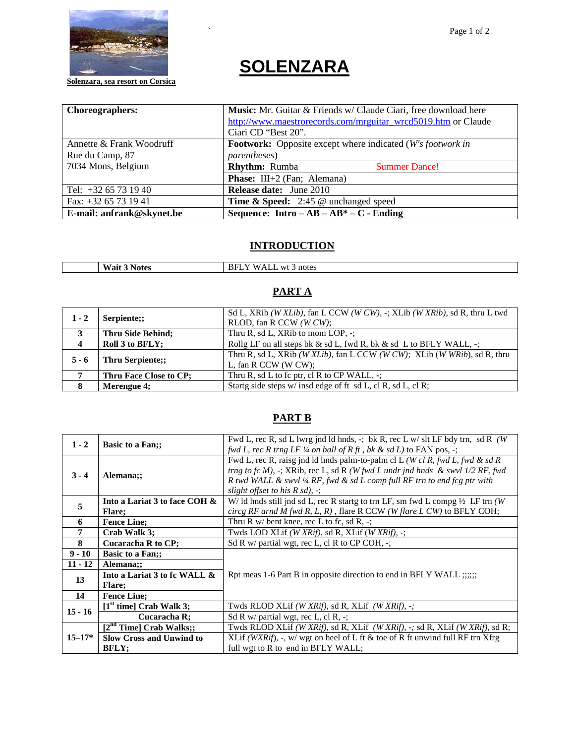# **[SOLENZARA](http://www.maestrorecords.com/mrguitar_wrcd5019.htm)**

#### Solenzara, sea resort on Corsica

| Choreographers:                             | Music: Mr. Guitar & Friends w/ Claude Ciantree download here<br>http://www.maestrorecords.com/mrguitar_wrcd5019.btrClaude<br>Ciari CD Best 20. |
|---------------------------------------------|------------------------------------------------------------------------------------------------------------------------------------------------|
| Annette & Frank Woodruff<br>Rue du Camp, 87 | Footwork: Opposite except where indicated 's footwork in<br>parentheses                                                                        |
| 7034Mons, Belgium                           | Rhythm: Rumba<br><b>Summer Dance!</b>                                                                                                          |
|                                             | Phase: III+2 (Fan; Alemana)                                                                                                                    |
| Tel: +32 65 73 19 40                        | Release date: June 2010                                                                                                                        |
| Fax: +32 65 73 19 41                        | Time & Speed: 2:45 @ unchanged speed                                                                                                           |
| E-mail: anfrank@skynet.be                   | Sequence: Intro €AB €AB* €C - Ending                                                                                                           |

## **INTRODUCTION**

|  | Wait<br><b>NOTES</b> | MA'<br>notes<br>wt<br>. .<br>$\mathbf{r}$<br>--<br>. . |
|--|----------------------|--------------------------------------------------------|
|--|----------------------|--------------------------------------------------------|

# PART A

| $1 - 2$        | Serpiente;;            | Sd L, XRib(W XLib), fan L CCW(W CW), -; XLib (W XRib), sd R, thru L twd<br>RLOD, fan R CCW(W CW) |
|----------------|------------------------|--------------------------------------------------------------------------------------------------|
| 3              | Thru Side Behind;      | Thru R, sd L, XRibo mom LOP-;                                                                    |
| $\overline{4}$ | Roll 3 to BFLY;        | Rollg LF on all steps bk & sd, fwd R, bk & sd L to BFLY WALL, -;                                 |
| $5 - 6$        | Thru Serpiente;;       | Thru R, sd L, XRib(W XLib), fan L CCW(W CW) XLib (W WRib, sd R, thru<br>L, fan R CCW (W CW);     |
|                | Thru Face Close to CP; | Thru R, sd L to fc ptr, cl R to CP WALE;                                                         |
| -8             | Merengue 4:            | Startgside stepsw/ insd edge of ftsd L, cl R, sd L, cl R;                                        |

### PART B

| $1 - 2$        | Basic to a Fan::                        | Fwd L, rec R, sd Llwrg jnd ld hnds-; bk R, rec Lw/ slt LF bdy trn sd R (W)<br>fwd L, rec Rtrng LF ¼ on ball of R ft, bk & sd L) to FAN pos,-;                                                                                                                         |
|----------------|-----------------------------------------|-----------------------------------------------------------------------------------------------------------------------------------------------------------------------------------------------------------------------------------------------------------------------|
| $3 - 4$        | Alemana::                               | Fwd L, rec R, raisg jnd ld hnds palto-palm cl L(W cl R, fwd L, fwd & sd R<br>trng to fc M, -; XRib, rec L, sd RW fwd L undr jnd hnds & swyl 1/2 RF, fwd<br>R twd WALL & swvl 1/4 RF, fwd & sd L comp full RF trn to end fcg ptr with<br>slight offset to is $R$ sd).: |
| 5              | Into a Lariat 3 to face COH &<br>Flare: | W/ Id hnds still jnd d L, rec Rstartg to trrLF, sm fwd Lcompg $\frac{1}{2}$ LF trn (W)<br>circg RF arnd M fwd R, LR), flare R CCW(W flare L CW) to BFLY COH;                                                                                                          |
| 6              | Fence Line:                             | Thru R w/ bent kneered L to fc, sd $R_{\tau}$ ;                                                                                                                                                                                                                       |
| $\overline{7}$ | Crab Walk 3:                            | Twds LODXLif (W XRif) sd R, XLif (W XRif) -;                                                                                                                                                                                                                          |
| 8              | Cucaracha R toCP;                       | Sd R w/ partial wgtrecL, cl R to CP COH <sub>7</sub> ;                                                                                                                                                                                                                |
| $9 - 10$       | Basic to a Fan::                        |                                                                                                                                                                                                                                                                       |
| $11 - 12$      | Alemana::                               |                                                                                                                                                                                                                                                                       |
| 13             | Into a Lariat 3 to fc WALL &<br>Flare:  | Rpt meast-6 Part B in opposite direction tend in BFLY WALL ;;;;;;                                                                                                                                                                                                     |
| 14             | Fence Line:                             |                                                                                                                                                                                                                                                                       |
| $15 - 16$      | $[1st$ time] Crab Walk 3;               | Twds RLOD XLif (W XRif), sd R, XLif (W XRif),-;                                                                                                                                                                                                                       |
|                | Cucaracha R                             | Sd R w/ patial wgt, rec L, cl R-;                                                                                                                                                                                                                                     |
|                | $[2^{nd}$ Time] Crab Walks;;            | Twds RLOD XLif (W XRif), sd R, XLif (W XRif), -; sd R, XLif (W XRf), sd R;                                                                                                                                                                                            |
| 15€17*         | Slow Cross and Unwind to                | XLif (WXRf), -, w/ wgt on heel of Ltt & toe of R ft unwindfull RF trn Xfrg                                                                                                                                                                                            |
|                | BFLY:                                   | full wgt to Rto end in BFLY WALL;                                                                                                                                                                                                                                     |